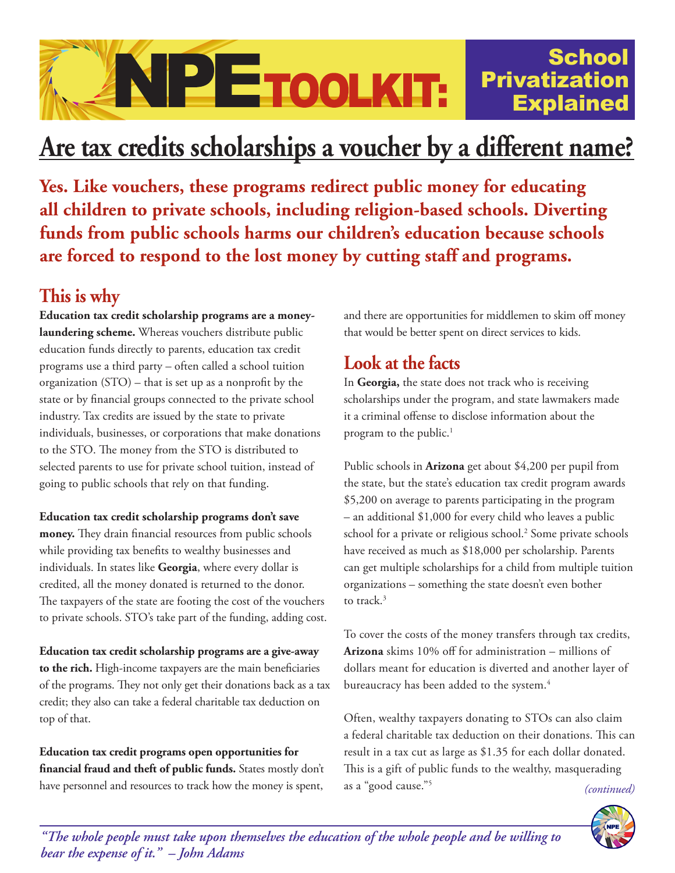## NPETOOLKIT: **Privatization** Explained

# **Are tax credits scholarships a voucher by a different name?**

**Yes. Like vouchers, these programs redirect public money for educating all children to private schools, including religion-based schools. Diverting funds from public schools harms our children's education because schools are forced to respond to the lost money by cutting staff and programs.**

## **This is why**

**Education tax credit scholarship programs are a moneylaundering scheme.** Whereas vouchers distribute public education funds directly to parents, education tax credit programs use a third party – often called a school tuition organization (STO) – that is set up as a nonprofit by the state or by financial groups connected to the private school industry. Tax credits are issued by the state to private individuals, businesses, or corporations that make donations to the STO. The money from the STO is distributed to selected parents to use for private school tuition, instead of going to public schools that rely on that funding.

#### **Education tax credit scholarship programs don't save**

**money.** They drain financial resources from public schools while providing tax benefits to wealthy businesses and individuals. In states like **Georgia**, where every dollar is credited, all the money donated is returned to the donor. The taxpayers of the state are footing the cost of the vouchers to private schools. STO's take part of the funding, adding cost.

**Education tax credit scholarship programs are a give-away to the rich.** High-income taxpayers are the main beneficiaries of the programs. They not only get their donations back as a tax credit; they also can take a federal charitable tax deduction on top of that.

**Education tax credit programs open opportunities for financial fraud and theft of public funds.** States mostly don't have personnel and resources to track how the money is spent,

and there are opportunities for middlemen to skim off money that would be better spent on direct services to kids.

**School** 

## **Look at the facts**

In **Georgia,** the state does not track who is receiving scholarships under the program, and state lawmakers made it a criminal offense to disclose information about the program to the public.<sup>1</sup>

Public schools in **Arizona** get about \$4,200 per pupil from the state, but the state's education tax credit program awards \$5,200 on average to parents participating in the program – an additional \$1,000 for every child who leaves a public school for a private or religious school.<sup>2</sup> Some private schools have received as much as \$18,000 per scholarship. Parents can get multiple scholarships for a child from multiple tuition organizations – something the state doesn't even bother to track.<sup>3</sup>

To cover the costs of the money transfers through tax credits, **Arizona** skims 10% off for administration – millions of dollars meant for education is diverted and another layer of bureaucracy has been added to the system.<sup>4</sup>

Often, wealthy taxpayers donating to STOs can also claim a federal charitable tax deduction on their donations. This can result in a tax cut as large as \$1.35 for each dollar donated. This is a gift of public funds to the wealthy, masquerading as a "good cause."5 *(continued)*



*"The whole people must take upon themselves the education of the whole people and be willing to bear the expense of it." – John Adams*